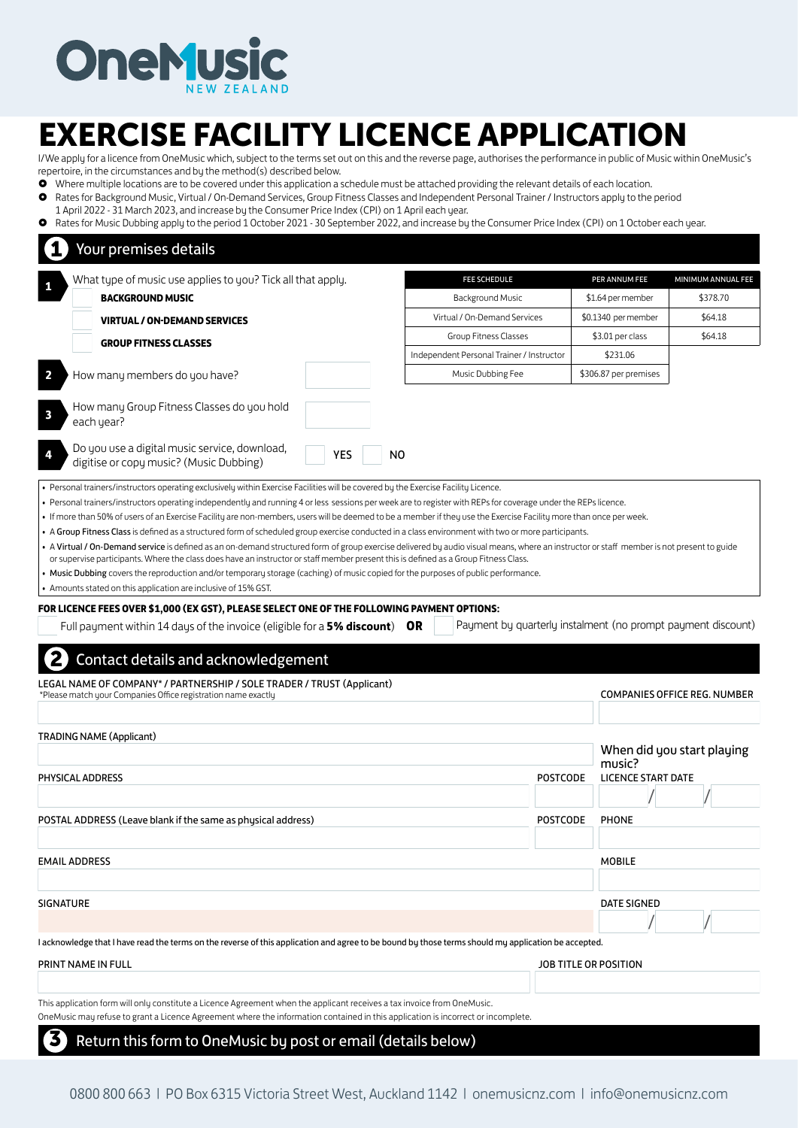

## EXERCISE FACILITY LICENCE APPLICATION

I/We apply for a licence from OneMusic which, subject to the terms set out on this and the reverse page, authorises the performance in public of Music within OneMusic's repertoire, in the circumstances and by the method(s) described below.

- Where multiple locations are to be covered under this application a schedule must be attached providing the relevant details of each location. Rates for Background Music, Virtual / On-Demand Services, Group Fitness Classes and Independent Personal Trainer / Instructors apply to the period
- 1 April 2022 31 March 2023, and increase by the Consumer Price Index (CPI) on 1 April each year.

Rates for Music Dubbing apply to the period 1 October 2021 - 30 September 2022, and increase by the Consumer Price Index (CPI) on 1 October each year.

|                         | What type of music use applies to you? Tick all that apply.                                                                                                                                                                                                                           |            | <b>FEE SCHEDULE</b>                       |                 | PER ANNUM FEE                                                | MINIMUM ANNUAL FEE                  |
|-------------------------|---------------------------------------------------------------------------------------------------------------------------------------------------------------------------------------------------------------------------------------------------------------------------------------|------------|-------------------------------------------|-----------------|--------------------------------------------------------------|-------------------------------------|
|                         | <b>BACKGROUND MUSIC</b>                                                                                                                                                                                                                                                               |            | <b>Background Music</b>                   |                 | \$1.64 per member                                            | \$378.70                            |
|                         | <b>VIRTUAL / ON-DEMAND SERVICES</b>                                                                                                                                                                                                                                                   |            | Virtual / On-Demand Services              |                 | \$0.1340 per member                                          | \$64.18                             |
|                         | <b>GROUP FITNESS CLASSES</b>                                                                                                                                                                                                                                                          |            | Group Fitness Classes                     |                 | \$3.01 per class                                             | \$64.18                             |
|                         |                                                                                                                                                                                                                                                                                       |            | Independent Personal Trainer / Instructor |                 | \$231.06                                                     |                                     |
|                         | How many members do you have?                                                                                                                                                                                                                                                         |            | Music Dubbing Fee                         |                 | \$306.87 per premises                                        |                                     |
| $\overline{\mathbf{3}}$ | How many Group Fitness Classes do you hold<br>each year?                                                                                                                                                                                                                              |            |                                           |                 |                                                              |                                     |
|                         | Do you use a digital music service, download,<br>digitise or copy music? (Music Dubbing)                                                                                                                                                                                              | <b>YES</b> | N <sub>O</sub>                            |                 |                                                              |                                     |
|                         | or supervise participants. Where the class does have an instructor or staff member present this is defined as a Group Fitness Class.<br>• Music Dubbing covers the reproduction and/or temporary storage (caching) of music copied for the purposes of public performance.            |            |                                           |                 |                                                              |                                     |
|                         | • Amounts stated on this application are inclusive of 15% GST.<br>FOR LICENCE FEES OVER \$1,000 (EX GST), PLEASE SELECT ONE OF THE FOLLOWING PAYMENT OPTIONS:<br>Full payment within 14 days of the invoice (eligible for a $5\%$ discount) OR<br>Contact details and acknowledgement |            |                                           |                 | Payment by quarterly instalment (no prompt payment discount) |                                     |
|                         | LEGAL NAME OF COMPANY* / PARTNERSHIP / SOLE TRADER / TRUST (Applicant)<br>*Please match your Companies Office registration name exactly                                                                                                                                               |            |                                           |                 |                                                              |                                     |
|                         | <b>TRADING NAME (Applicant)</b>                                                                                                                                                                                                                                                       |            |                                           |                 |                                                              | <b>COMPANIES OFFICE REG. NUMBER</b> |
|                         |                                                                                                                                                                                                                                                                                       |            |                                           |                 |                                                              | When did you start playing          |
| PHYSICAL ADDRESS        |                                                                                                                                                                                                                                                                                       |            |                                           | <b>POSTCODE</b> | music?<br><b>LICENCE START DATE</b>                          |                                     |
|                         | POSTAL ADDRESS (Leave blank if the same as physical address)                                                                                                                                                                                                                          |            |                                           | <b>POSTCODE</b> | <b>PHONE</b>                                                 |                                     |
|                         |                                                                                                                                                                                                                                                                                       |            |                                           |                 |                                                              |                                     |
|                         |                                                                                                                                                                                                                                                                                       |            |                                           |                 | <b>MOBILE</b>                                                |                                     |
| <b>EMAIL ADDRESS</b>    |                                                                                                                                                                                                                                                                                       |            |                                           |                 |                                                              |                                     |
|                         |                                                                                                                                                                                                                                                                                       |            |                                           |                 | <b>DATE SIGNED</b>                                           |                                     |
| <b>SIGNATURE</b>        | I acknowledge that I have read the terms on the reverse of this application and agree to be bound by those terms should my application be accepted.                                                                                                                                   |            |                                           |                 |                                                              |                                     |
|                         |                                                                                                                                                                                                                                                                                       |            |                                           |                 |                                                              |                                     |
|                         | PRINT NAME IN FULL                                                                                                                                                                                                                                                                    |            |                                           |                 | JOB TITLE OR POSITION                                        |                                     |